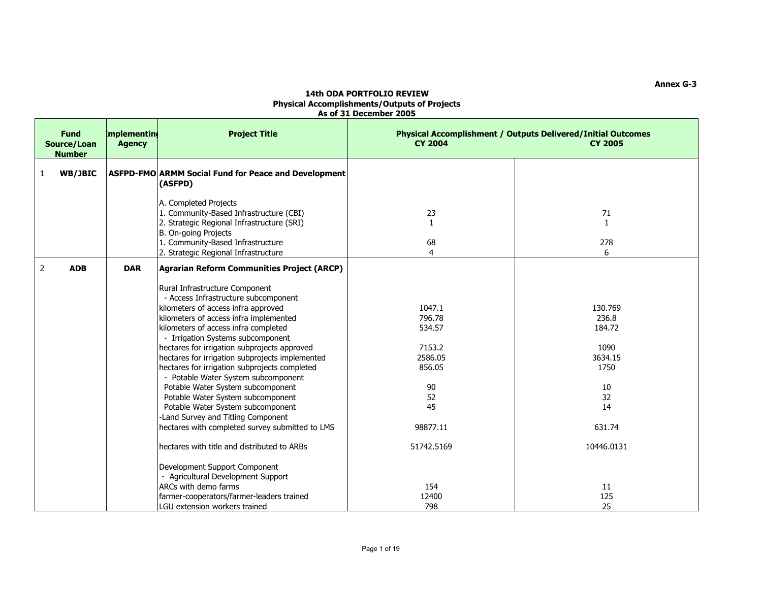| <b>Fund</b><br>Source/Loan<br><b>Number</b> | mplementing<br><b>Agency</b> | <b>Project Title</b>                                            | <b>CY 2004</b> | Physical Accomplishment / Outputs Delivered/Initial Outcomes<br><b>CY 2005</b> |
|---------------------------------------------|------------------------------|-----------------------------------------------------------------|----------------|--------------------------------------------------------------------------------|
| WB/JBIC<br>1                                |                              | ASFPD-FMO ARMM Social Fund for Peace and Development<br>(ASFPD) |                |                                                                                |
|                                             |                              | A. Completed Projects                                           |                |                                                                                |
|                                             |                              | 1. Community-Based Infrastructure (CBI)                         | 23             | 71                                                                             |
|                                             |                              | 2. Strategic Regional Infrastructure (SRI)                      | $\mathbf{1}$   | $\mathbf{1}$                                                                   |
|                                             |                              | B. On-going Projects                                            |                |                                                                                |
|                                             |                              | 1. Community-Based Infrastructure                               | 68             | 278                                                                            |
|                                             |                              | 2. Strategic Regional Infrastructure                            | $\overline{4}$ | 6                                                                              |
| $\overline{2}$<br><b>ADB</b>                | <b>DAR</b>                   | <b>Agrarian Reform Communities Project (ARCP)</b>               |                |                                                                                |
|                                             |                              | Rural Infrastructure Component                                  |                |                                                                                |
|                                             |                              | - Access Infrastructure subcomponent                            |                |                                                                                |
|                                             |                              | kilometers of access infra approved                             | 1047.1         | 130.769                                                                        |
|                                             |                              | kilometers of access infra implemented                          | 796.78         | 236.8                                                                          |
|                                             |                              | kilometers of access infra completed                            | 534.57         | 184.72                                                                         |
|                                             |                              | - Irrigation Systems subcomponent                               |                |                                                                                |
|                                             |                              | hectares for irrigation subprojects approved                    | 7153.2         | 1090                                                                           |
|                                             |                              | hectares for irrigation subprojects implemented                 | 2586.05        | 3634.15                                                                        |
|                                             |                              | hectares for irrigation subprojects completed                   | 856.05         | 1750                                                                           |
|                                             |                              | - Potable Water System subcomponent                             |                |                                                                                |
|                                             |                              | Potable Water System subcomponent                               | 90             | 10                                                                             |
|                                             |                              | Potable Water System subcomponent                               | 52             | 32                                                                             |
|                                             |                              | Potable Water System subcomponent                               | 45             | 14                                                                             |
|                                             |                              | -Land Survey and Titling Component                              |                |                                                                                |
|                                             |                              | hectares with completed survey submitted to LMS                 | 98877.11       | 631.74                                                                         |
|                                             |                              | hectares with title and distributed to ARBs                     | 51742.5169     | 10446.0131                                                                     |
|                                             |                              | Development Support Component                                   |                |                                                                                |
|                                             |                              | - Agricultural Development Support                              |                |                                                                                |
|                                             |                              | ARCs with demo farms                                            | 154            | 11                                                                             |
|                                             |                              | farmer-cooperators/farmer-leaders trained                       | 12400          | 125                                                                            |
|                                             |                              | LGU extension workers trained                                   | 798            | 25                                                                             |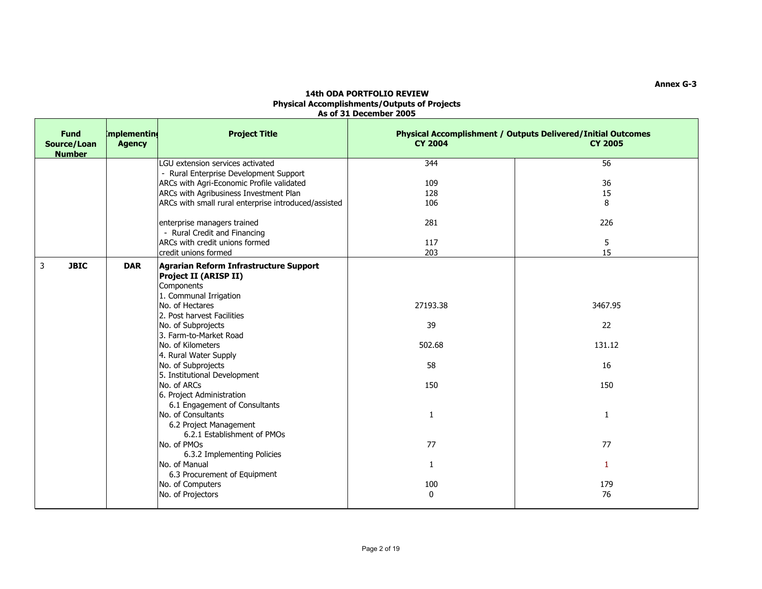| <b>Fund</b><br>Source/Loan<br><b>Number</b> | <b>Implementing</b><br><b>Agency</b> | <b>Project Title</b>                                                                                           | <b>CY 2004</b> | <b>Physical Accomplishment / Outputs Delivered/Initial Outcomes</b><br><b>CY 2005</b> |
|---------------------------------------------|--------------------------------------|----------------------------------------------------------------------------------------------------------------|----------------|---------------------------------------------------------------------------------------|
|                                             |                                      | LGU extension services activated                                                                               | 344            | 56                                                                                    |
|                                             |                                      | - Rural Enterprise Development Support                                                                         |                |                                                                                       |
|                                             |                                      | ARCs with Agri-Economic Profile validated                                                                      | 109            | 36                                                                                    |
|                                             |                                      | ARCs with Agribusiness Investment Plan                                                                         | 128            | 15                                                                                    |
|                                             |                                      | ARCs with small rural enterprise introduced/assisted                                                           | 106            | 8                                                                                     |
|                                             |                                      | enterprise managers trained                                                                                    | 281            | 226                                                                                   |
|                                             |                                      | - Rural Credit and Financing                                                                                   |                |                                                                                       |
|                                             |                                      | ARCs with credit unions formed                                                                                 | 117            | 5                                                                                     |
|                                             |                                      | credit unions formed                                                                                           | 203            | 15                                                                                    |
| $\overline{3}$<br><b>JBIC</b>               | <b>DAR</b>                           | Agrarian Reform Infrastructure Support<br><b>Project II (ARISP II)</b><br>Components<br>1. Communal Irrigation |                |                                                                                       |
|                                             |                                      | No. of Hectares<br>2. Post harvest Facilities                                                                  | 27193.38       | 3467.95                                                                               |
|                                             |                                      | No. of Subprojects<br>3. Farm-to-Market Road                                                                   | 39             | 22                                                                                    |
|                                             |                                      | No. of Kilometers<br>4. Rural Water Supply                                                                     | 502.68         | 131.12                                                                                |
|                                             |                                      | No. of Subprojects<br>5. Institutional Development                                                             | 58             | 16                                                                                    |
|                                             |                                      | No. of ARCs<br>6. Project Administration                                                                       | 150            | 150                                                                                   |
|                                             |                                      | 6.1 Engagement of Consultants<br>No. of Consultants<br>6.2 Project Management<br>6.2.1 Establishment of PMOs   | $\mathbf{1}$   | $\mathbf{1}$                                                                          |
|                                             |                                      | No. of PMOs<br>6.3.2 Implementing Policies                                                                     | 77             | 77                                                                                    |
|                                             |                                      | No. of Manual                                                                                                  | $\mathbf{1}$   | $\mathbf{1}$                                                                          |
|                                             |                                      | 6.3 Procurement of Equipment<br>No. of Computers                                                               | 100            | 179                                                                                   |
|                                             |                                      | No. of Projectors                                                                                              | $\mathbf 0$    | 76                                                                                    |
|                                             |                                      |                                                                                                                |                |                                                                                       |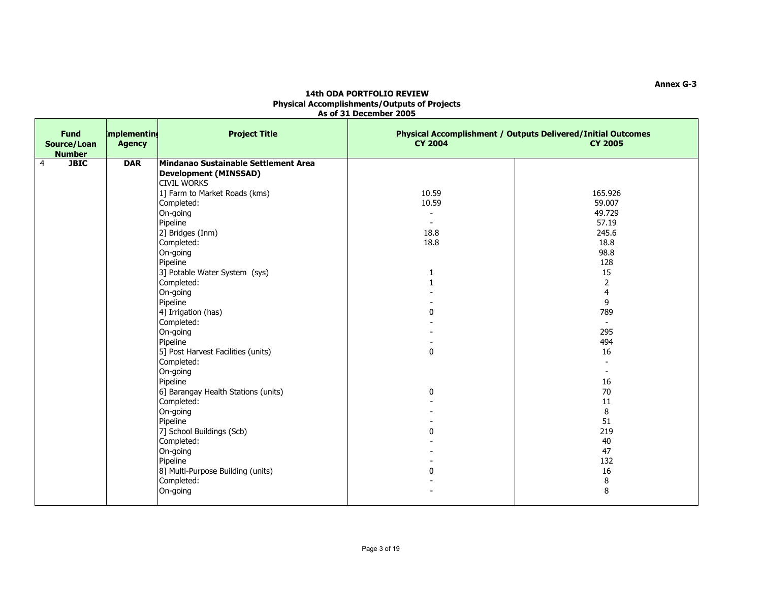| <b>Fund</b><br>Source/Loan<br><b>Number</b> | mplementing<br><b>Agency</b> | <b>Project Title</b>                                                                                                                                                                                                                                                                                                                                                                                                                                                                                                                                                                                                                                       | <b>CY 2004</b>                                                                                                                                   | Physical Accomplishment / Outputs Delivered/Initial Outcomes<br><b>CY 2005</b>                                                                                                                    |
|---------------------------------------------|------------------------------|------------------------------------------------------------------------------------------------------------------------------------------------------------------------------------------------------------------------------------------------------------------------------------------------------------------------------------------------------------------------------------------------------------------------------------------------------------------------------------------------------------------------------------------------------------------------------------------------------------------------------------------------------------|--------------------------------------------------------------------------------------------------------------------------------------------------|---------------------------------------------------------------------------------------------------------------------------------------------------------------------------------------------------|
| <b>JBIC</b><br>4                            | <b>DAR</b>                   | Mindanao Sustainable Settlement Area<br><b>Development (MINSSAD)</b><br><b>CIVIL WORKS</b><br>1] Farm to Market Roads (kms)<br>Completed:<br>On-going<br>Pipeline<br>2] Bridges (Inm)<br>Completed:<br>On-going<br>Pipeline<br>3] Potable Water System (sys)<br>Completed:<br>On-going<br>Pipeline<br>4] Irrigation (has)<br>Completed:<br>On-going<br>Pipeline<br>5] Post Harvest Facilities (units)<br>Completed:<br>On-going<br>Pipeline<br>6] Barangay Health Stations (units)<br>Completed:<br>On-going<br>Pipeline<br>7] School Buildings (Scb)<br>Completed:<br>On-going<br>Pipeline<br>8] Multi-Purpose Building (units)<br>Completed:<br>On-going | 10.59<br>10.59<br>$\blacksquare$<br>$\sim$<br>18.8<br>18.8<br>1<br>$\mathbf{1}$<br>$\mathbf{0}$<br>$\pmb{0}$<br>$\mathbf 0$<br>$\mathbf{0}$<br>0 | 165.926<br>59.007<br>49.729<br>57.19<br>245.6<br>18.8<br>98.8<br>128<br>15<br>2<br>4<br>9<br>789<br>295<br>494<br>16<br>16<br>70<br>11<br>8<br>51<br>219<br>40<br>47<br>132<br>16<br>$\bf 8$<br>8 |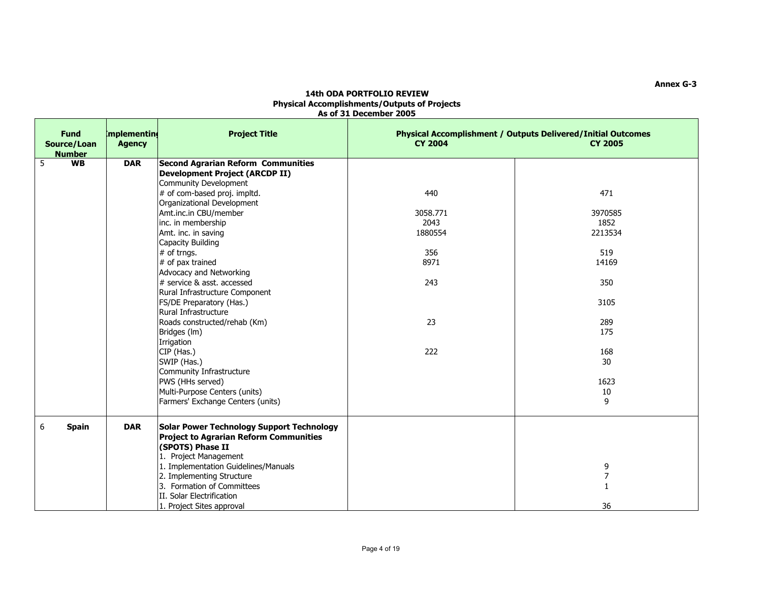| <b>Fund</b><br>Source/Loan<br><b>Number</b> | mplementing<br><b>Agency</b> | <b>Project Title</b>                                                                                                                                                                                                                                                                                                                                             | <b>CY 2004</b>                                           | <b>Physical Accomplishment / Outputs Delivered/Initial Outcomes</b><br><b>CY 2005</b> |
|---------------------------------------------|------------------------------|------------------------------------------------------------------------------------------------------------------------------------------------------------------------------------------------------------------------------------------------------------------------------------------------------------------------------------------------------------------|----------------------------------------------------------|---------------------------------------------------------------------------------------|
| <b>WB</b><br>5                              | <b>DAR</b>                   | <b>Second Agrarian Reform Communities</b><br><b>Development Project (ARCDP II)</b><br>Community Development<br># of com-based proj. impltd.<br>Organizational Development<br>Amt.inc.in CBU/member<br>inc. in membership<br>Amt. inc. in saving<br>Capacity Building<br># of trngs.<br># of pax trained<br>Advocacy and Networking<br># service & asst. accessed | 440<br>3058.771<br>2043<br>1880554<br>356<br>8971<br>243 | 471<br>3970585<br>1852<br>2213534<br>519<br>14169<br>350                              |
|                                             |                              | Rural Infrastructure Component<br>FS/DE Preparatory (Has.)<br>Rural Infrastructure<br>Roads constructed/rehab (Km)<br>Bridges (Im)<br>Irrigation<br>CIP (Has.)<br>SWIP (Has.)<br>Community Infrastructure<br>PWS (HHs served)<br>Multi-Purpose Centers (units)<br>Farmers' Exchange Centers (units)                                                              | 23<br>222                                                | 3105<br>289<br>175<br>168<br>30<br>1623<br>10<br>9                                    |
| 6<br><b>Spain</b>                           | <b>DAR</b>                   | Solar Power Technology Support Technology<br><b>Project to Agrarian Reform Communities</b><br>(SPOTS) Phase II<br>1. Project Management<br>1. Implementation Guidelines/Manuals<br>2. Implementing Structure<br>3. Formation of Committees<br>II. Solar Electrification<br>1. Project Sites approval                                                             |                                                          | 9<br>$\boldsymbol{7}$<br>$\mathbf{1}$<br>36                                           |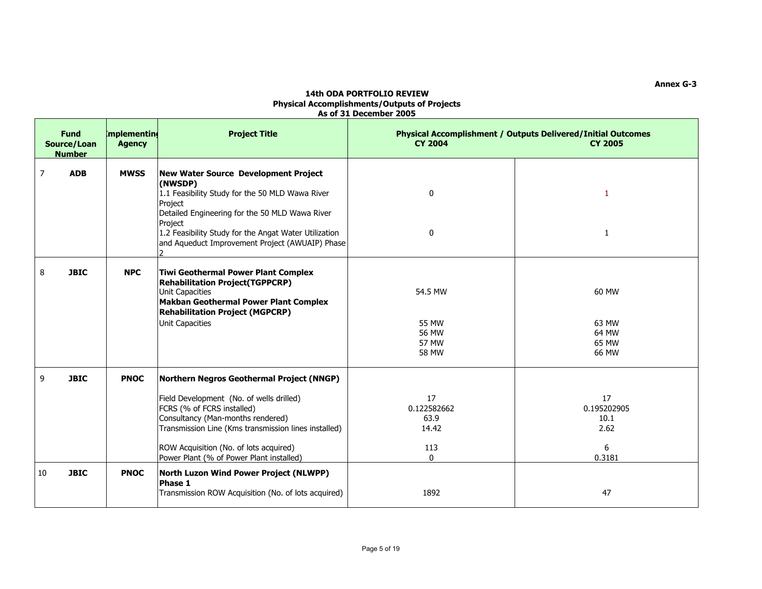| <b>Fund</b><br>Source/Loan<br><b>Number</b> | mplementing<br><b>Agency</b> | <b>Project Title</b>                                                                                                                                                                                                                                                                                                                             | <b>CY 2004</b>                                                   | Physical Accomplishment / Outputs Delivered/Initial Outcomes<br><b>CY 2005</b> |
|---------------------------------------------|------------------------------|--------------------------------------------------------------------------------------------------------------------------------------------------------------------------------------------------------------------------------------------------------------------------------------------------------------------------------------------------|------------------------------------------------------------------|--------------------------------------------------------------------------------|
| $\overline{7}$<br><b>ADB</b>                | <b>MWSS</b>                  | New Water Source Development Project<br>(NWSDP)<br>1.1 Feasibility Study for the 50 MLD Wawa River<br>Project<br>Detailed Engineering for the 50 MLD Wawa River<br>Project<br>1.2 Feasibility Study for the Angat Water Utilization<br>and Aqueduct Improvement Project (AWUAIP) Phase                                                           | 0<br>0                                                           | 1<br>$\mathbf{1}$                                                              |
| 8<br><b>JBIC</b>                            | <b>NPC</b>                   | <b>Tiwi Geothermal Power Plant Complex</b><br><b>Rehabilitation Project(TGPPCRP)</b><br>Unit Capacities<br><b>Makban Geothermal Power Plant Complex</b><br><b>Rehabilitation Project (MGPCRP)</b><br>Unit Capacities                                                                                                                             | 54.5 MW<br><b>55 MW</b><br>56 MW<br><b>57 MW</b><br><b>58 MW</b> | 60 MW<br>63 MW<br>64 MW<br>65 MW<br>66 MW                                      |
| 9<br><b>JBIC</b><br><b>JBIC</b><br>10       | <b>PNOC</b><br><b>PNOC</b>   | Northern Negros Geothermal Project (NNGP)<br>Field Development (No. of wells drilled)<br>FCRS (% of FCRS installed)<br>Consultancy (Man-months rendered)<br>Transmission Line (Kms transmission lines installed)<br>ROW Acquisition (No. of lots acquired)<br>Power Plant (% of Power Plant installed)<br>North Luzon Wind Power Project (NLWPP) | 17<br>0.122582662<br>63.9<br>14.42<br>113<br>$\Omega$            | 17<br>0.195202905<br>10.1<br>2.62<br>6<br>0.3181                               |
|                                             |                              | Phase 1<br>Transmission ROW Acquisition (No. of lots acquired)                                                                                                                                                                                                                                                                                   | 1892                                                             | 47                                                                             |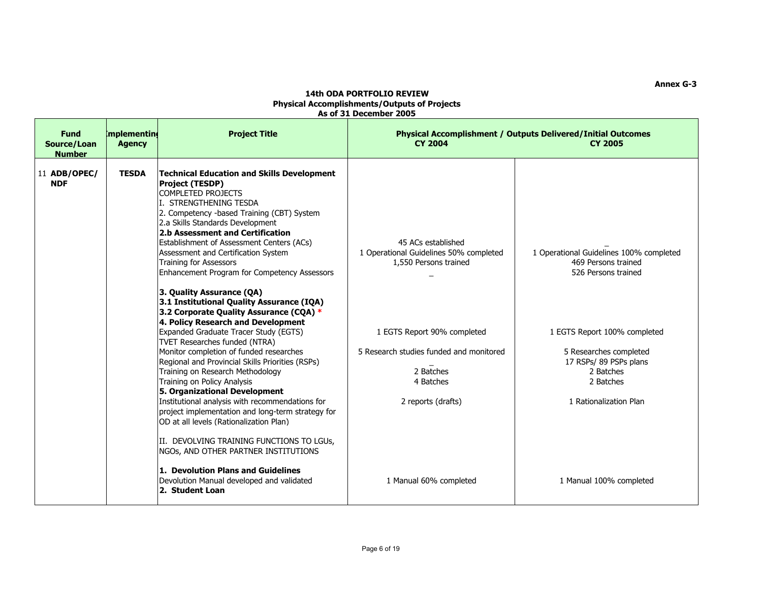| Source/Loan<br><b>Number</b> | <b>Agency</b> | mplementing<br><b>Project Title</b>                                                                                                                                                                                                                                                                                                                                                                                                                                                                                                                                                                                                                                                                                                                   | <b>CY 2004</b>                                                                                                                                   | <b>Physical Accomplishment / Outputs Delivered/Initial Outcomes</b><br><b>CY 2005</b>                                                                           |
|------------------------------|---------------|-------------------------------------------------------------------------------------------------------------------------------------------------------------------------------------------------------------------------------------------------------------------------------------------------------------------------------------------------------------------------------------------------------------------------------------------------------------------------------------------------------------------------------------------------------------------------------------------------------------------------------------------------------------------------------------------------------------------------------------------------------|--------------------------------------------------------------------------------------------------------------------------------------------------|-----------------------------------------------------------------------------------------------------------------------------------------------------------------|
| 11 ADB/OPEC/<br><b>NDF</b>   | <b>TESDA</b>  | Technical Education and Skills Development<br><b>Project (TESDP)</b><br><b>COMPLETED PROJECTS</b><br>I. STRENGTHENING TESDA<br>2. Competency -based Training (CBT) System<br>2.a Skills Standards Development<br>2.b Assessment and Certification<br>Establishment of Assessment Centers (ACs)<br>Assessment and Certification System<br>Training for Assessors<br>Enhancement Program for Competency Assessors<br>3. Quality Assurance (QA)                                                                                                                                                                                                                                                                                                          | 45 ACs established<br>1 Operational Guidelines 50% completed<br>1,550 Persons trained                                                            | 1 Operational Guidelines 100% completed<br>469 Persons trained<br>526 Persons trained                                                                           |
|                              |               | 3.1 Institutional Quality Assurance (IQA)<br>3.2 Corporate Quality Assurance (CQA) *<br>4. Policy Research and Development<br>Expanded Graduate Tracer Study (EGTS)<br>TVET Researches funded (NTRA)<br>Monitor completion of funded researches<br>Regional and Provincial Skills Priorities (RSPs)<br>Training on Research Methodology<br>Training on Policy Analysis<br>5. Organizational Development<br>Institutional analysis with recommendations for<br>project implementation and long-term strategy for<br>OD at all levels (Rationalization Plan)<br>II. DEVOLVING TRAINING FUNCTIONS TO LGUS,<br>NGOS, AND OTHER PARTNER INSTITUTIONS<br>1. Devolution Plans and Guidelines<br>Devolution Manual developed and validated<br>2. Student Loan | 1 EGTS Report 90% completed<br>5 Research studies funded and monitored<br>2 Batches<br>4 Batches<br>2 reports (drafts)<br>1 Manual 60% completed | 1 EGTS Report 100% completed<br>5 Researches completed<br>17 RSPs/ 89 PSPs plans<br>2 Batches<br>2 Batches<br>1 Rationalization Plan<br>1 Manual 100% completed |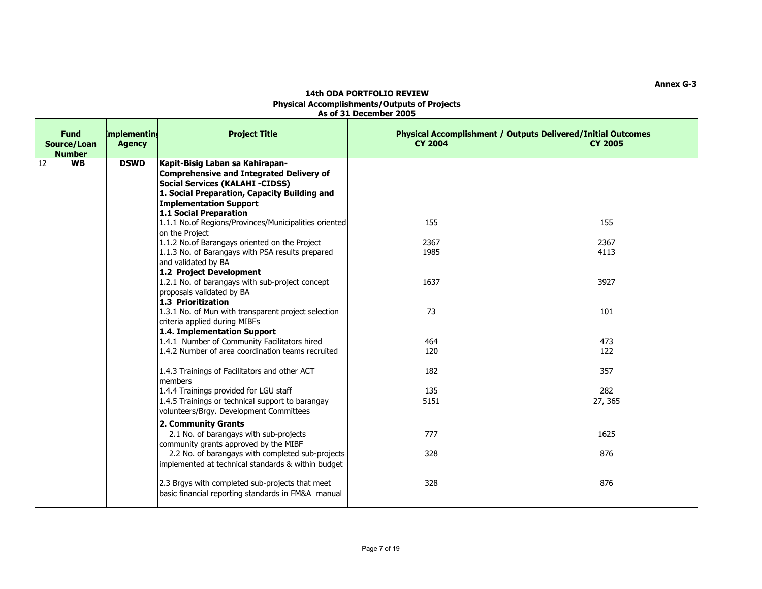| <b>Fund</b><br>Source/Loan<br><b>Number</b> | <b>Implementing</b><br><b>Agency</b> | <b>Project Title</b>                                                                                                                                                                                                             | <b>CY 2004</b> | Physical Accomplishment / Outputs Delivered/Initial Outcomes<br><b>CY 2005</b> |
|---------------------------------------------|--------------------------------------|----------------------------------------------------------------------------------------------------------------------------------------------------------------------------------------------------------------------------------|----------------|--------------------------------------------------------------------------------|
| 12<br><b>WB</b>                             | <b>DSWD</b>                          | Kapit-Bisig Laban sa Kahirapan-<br>Comprehensive and Integrated Delivery of<br><b>Social Services (KALAHI -CIDSS)</b><br>1. Social Preparation, Capacity Building and<br><b>Implementation Support</b><br>1.1 Social Preparation |                |                                                                                |
|                                             |                                      | 1.1.1 No.of Regions/Provinces/Municipalities oriented<br>on the Project                                                                                                                                                          | 155            | 155                                                                            |
|                                             |                                      | 1.1.2 No.of Barangays oriented on the Project<br>1.1.3 No. of Barangays with PSA results prepared<br>and validated by BA                                                                                                         | 2367<br>1985   | 2367<br>4113                                                                   |
|                                             |                                      | 1.2 Project Development<br>1.2.1 No. of barangays with sub-project concept<br>proposals validated by BA<br>1.3 Prioritization                                                                                                    | 1637           | 3927                                                                           |
|                                             |                                      | 1.3.1 No. of Mun with transparent project selection<br>criteria applied during MIBFs<br>1.4. Implementation Support                                                                                                              | 73             | 101                                                                            |
|                                             |                                      | 1.4.1 Number of Community Facilitators hired<br>1.4.2 Number of area coordination teams recruited                                                                                                                                | 464<br>120     | 473<br>122                                                                     |
|                                             |                                      | 1.4.3 Trainings of Facilitators and other ACT<br>members                                                                                                                                                                         | 182            | 357                                                                            |
|                                             |                                      | 1.4.4 Trainings provided for LGU staff<br>1.4.5 Trainings or technical support to barangay<br>volunteers/Brgy. Development Committees                                                                                            | 135<br>5151    | 282<br>27, 365                                                                 |
|                                             |                                      | 2. Community Grants<br>2.1 No. of barangays with sub-projects<br>community grants approved by the MIBF                                                                                                                           | 777            | 1625                                                                           |
|                                             |                                      | 2.2 No. of barangays with completed sub-projects<br>implemented at technical standards & within budget                                                                                                                           | 328            | 876                                                                            |
|                                             |                                      | 2.3 Brgys with completed sub-projects that meet<br>basic financial reporting standards in FM&A manual                                                                                                                            | 328            | 876                                                                            |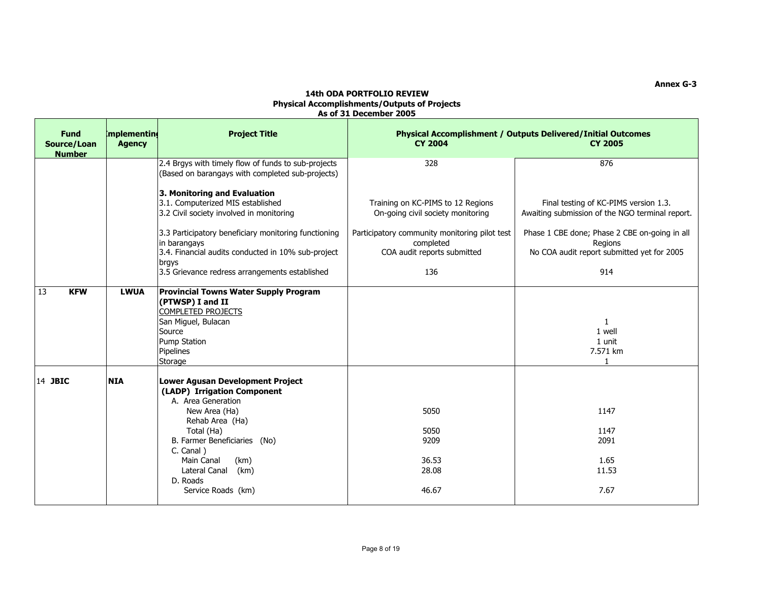| <b>Fund</b><br>Source/Loan<br><b>Number</b> | mplementing<br><b>Agency</b> | <b>Project Title</b>                                                                                                                                                                                                                                                  | <b>Physical Accomplishment / Outputs Delivered/Initial Outcomes</b><br><b>CY 2004</b><br><b>CY 2005</b> |                                                                                                        |
|---------------------------------------------|------------------------------|-----------------------------------------------------------------------------------------------------------------------------------------------------------------------------------------------------------------------------------------------------------------------|---------------------------------------------------------------------------------------------------------|--------------------------------------------------------------------------------------------------------|
|                                             |                              | 2.4 Brgys with timely flow of funds to sub-projects<br>(Based on barangays with completed sub-projects)                                                                                                                                                               | 328                                                                                                     | 876                                                                                                    |
|                                             |                              | 3. Monitoring and Evaluation<br>3.1. Computerized MIS established<br>3.2 Civil society involved in monitoring                                                                                                                                                         | Training on KC-PIMS to 12 Regions<br>On-going civil society monitoring                                  | Final testing of KC-PIMS version 1.3.<br>Awaiting submission of the NGO terminal report.               |
|                                             |                              | 3.3 Participatory beneficiary monitoring functioning<br>in barangays<br>3.4. Financial audits conducted in 10% sub-project<br>brgys                                                                                                                                   | Participatory community monitoring pilot test<br>completed<br>COA audit reports submitted               | Phase 1 CBE done; Phase 2 CBE on-going in all<br>Regions<br>No COA audit report submitted yet for 2005 |
|                                             |                              | 3.5 Grievance redress arrangements established                                                                                                                                                                                                                        | 136                                                                                                     | 914                                                                                                    |
| 13<br><b>KFW</b>                            | <b>LWUA</b>                  | <b>Provincial Towns Water Supply Program</b><br>(PTWSP) I and II<br><b>COMPLETED PROJECTS</b><br>San Miguel, Bulacan<br>Source<br>Pump Station<br>Pipelines<br>Storage                                                                                                |                                                                                                         | $\mathbf{1}$<br>1 well<br>1 unit<br>7.571 km<br>$\mathbf{1}$                                           |
| 14 JBIC                                     | <b>NIA</b>                   | Lower Agusan Development Project<br>(LADP) Irrigation Component<br>A. Area Generation<br>New Area (Ha)<br>Rehab Area (Ha)<br>Total (Ha)<br>B. Farmer Beneficiaries (No)<br>C. Canal)<br>(km)<br>Main Canal<br>Lateral Canal<br>(km)<br>D. Roads<br>Service Roads (km) | 5050<br>5050<br>9209<br>36.53<br>28.08<br>46.67                                                         | 1147<br>1147<br>2091<br>1.65<br>11.53<br>7.67                                                          |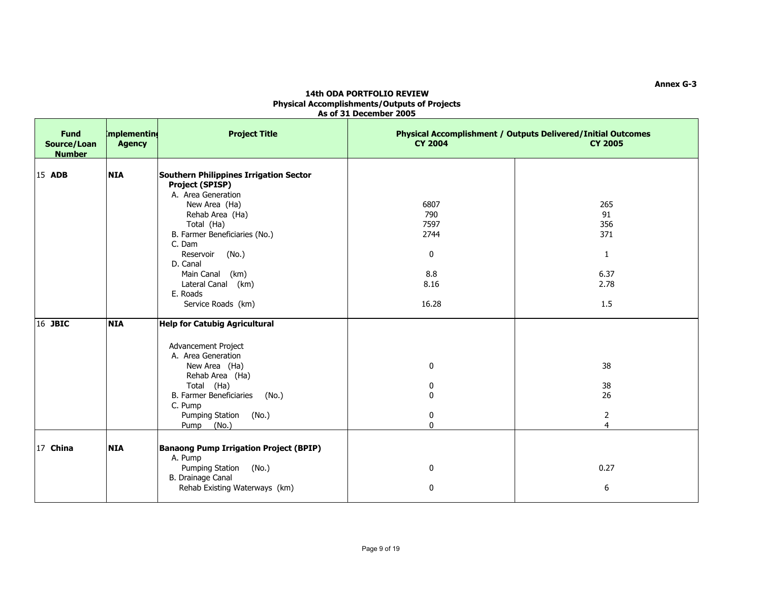| <b>Fund</b><br>Source/Loan<br><b>Number</b> | mplementing<br><b>Agency</b> | <b>Project Title</b>                                                                                                                                                                                                                                                                                    | <b>CY 2004</b>                                           | <b>Physical Accomplishment / Outputs Delivered/Initial Outcomes</b><br><b>CY 2005</b> |
|---------------------------------------------|------------------------------|---------------------------------------------------------------------------------------------------------------------------------------------------------------------------------------------------------------------------------------------------------------------------------------------------------|----------------------------------------------------------|---------------------------------------------------------------------------------------|
| 15 ADB                                      | <b>NIA</b>                   | <b>Southern Philippines Irrigation Sector</b><br><b>Project (SPISP)</b><br>A. Area Generation<br>New Area (Ha)<br>Rehab Area (Ha)<br>Total (Ha)<br>B. Farmer Beneficiaries (No.)<br>C. Dam<br>Reservoir<br>(No.)<br>D. Canal<br>Main Canal (km)<br>Lateral Canal (km)<br>E. Roads<br>Service Roads (km) | 6807<br>790<br>7597<br>2744<br>0<br>8.8<br>8.16<br>16.28 | 265<br>91<br>356<br>371<br>$\mathbf{1}$<br>6.37<br>2.78<br>1.5                        |
| 16 JBIC                                     | <b>NIA</b>                   | <b>Help for Catubig Agricultural</b><br>Advancement Project<br>A. Area Generation<br>New Area (Ha)<br>Rehab Area (Ha)<br>Total (Ha)<br><b>B. Farmer Beneficiaries</b><br>(No.)<br>C. Pump<br>Pumping Station (No.)<br>Pump<br>(No.)                                                                     | 0<br>0<br>0<br>0<br>$\mathbf{0}$                         | 38<br>38<br>26<br>2<br>4                                                              |
| 17 China                                    | <b>NIA</b>                   | <b>Banaong Pump Irrigation Project (BPIP)</b><br>A. Pump<br>Pumping Station<br>(No.)<br>B. Drainage Canal<br>Rehab Existing Waterways (km)                                                                                                                                                              | 0<br>0                                                   | 0.27<br>6                                                                             |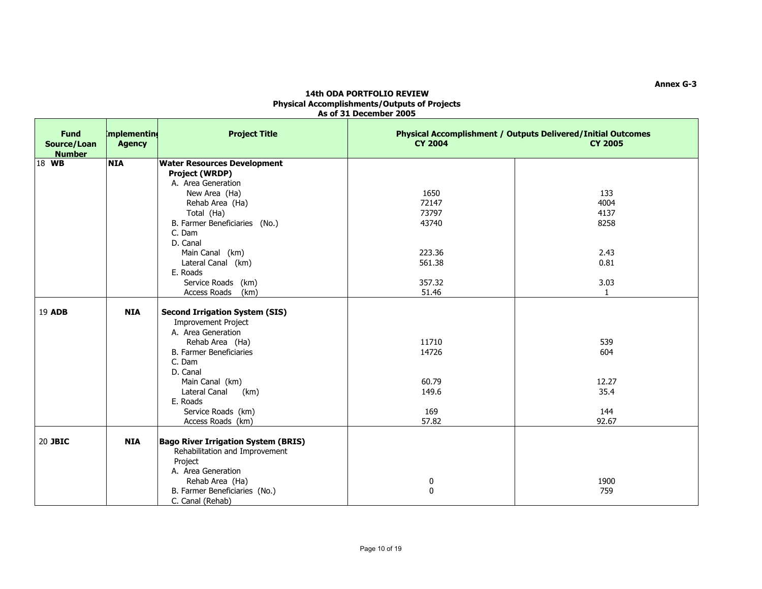| <b>Fund</b><br>Source/Loan<br><b>Number</b> | mplementing<br><b>Agency</b> | <b>Project Title</b>                       | <b>CY 2004</b> | <b>Physical Accomplishment / Outputs Delivered/Initial Outcomes</b><br><b>CY 2005</b> |
|---------------------------------------------|------------------------------|--------------------------------------------|----------------|---------------------------------------------------------------------------------------|
| 18 WB                                       | <b>NIA</b>                   | <b>Water Resources Development</b>         |                |                                                                                       |
|                                             |                              | <b>Project (WRDP)</b>                      |                |                                                                                       |
|                                             |                              | A. Area Generation                         |                |                                                                                       |
|                                             |                              | New Area (Ha)                              | 1650           | 133                                                                                   |
|                                             |                              | Rehab Area (Ha)                            | 72147          | 4004                                                                                  |
|                                             |                              | Total (Ha)                                 | 73797          | 4137                                                                                  |
|                                             |                              | B. Farmer Beneficiaries (No.)              | 43740          | 8258                                                                                  |
|                                             |                              | C. Dam                                     |                |                                                                                       |
|                                             |                              | D. Canal                                   |                |                                                                                       |
|                                             |                              | Main Canal (km)                            | 223.36         | 2.43                                                                                  |
|                                             |                              | Lateral Canal (km)                         | 561.38         | 0.81                                                                                  |
|                                             |                              | E. Roads                                   |                |                                                                                       |
|                                             |                              | Service Roads (km)                         | 357.32         | 3.03                                                                                  |
|                                             |                              | Access Roads<br>(km)                       | 51.46          | $\overline{1}$                                                                        |
| 19 ADB                                      | <b>NIA</b>                   | <b>Second Irrigation System (SIS)</b>      |                |                                                                                       |
|                                             |                              | <b>Improvement Project</b>                 |                |                                                                                       |
|                                             |                              | A. Area Generation                         |                |                                                                                       |
|                                             |                              | Rehab Area (Ha)                            | 11710          | 539                                                                                   |
|                                             |                              | <b>B. Farmer Beneficiaries</b>             | 14726          | 604                                                                                   |
|                                             |                              | C. Dam                                     |                |                                                                                       |
|                                             |                              | D. Canal                                   |                |                                                                                       |
|                                             |                              | Main Canal (km)                            | 60.79          | 12.27                                                                                 |
|                                             |                              | Lateral Canal<br>(km)                      | 149.6          | 35.4                                                                                  |
|                                             |                              | E. Roads                                   |                |                                                                                       |
|                                             |                              | Service Roads (km)                         | 169            | 144                                                                                   |
|                                             |                              | Access Roads (km)                          | 57.82          | 92.67                                                                                 |
|                                             |                              |                                            |                |                                                                                       |
| 20 JBIC                                     | <b>NIA</b>                   | <b>Bago River Irrigation System (BRIS)</b> |                |                                                                                       |
|                                             |                              | Rehabilitation and Improvement             |                |                                                                                       |
|                                             |                              | Project                                    |                |                                                                                       |
|                                             |                              | A. Area Generation                         |                |                                                                                       |
|                                             |                              | Rehab Area (Ha)                            | 0              | 1900                                                                                  |
|                                             |                              | B. Farmer Beneficiaries (No.)              | $\mathbf 0$    | 759                                                                                   |
|                                             |                              | C. Canal (Rehab)                           |                |                                                                                       |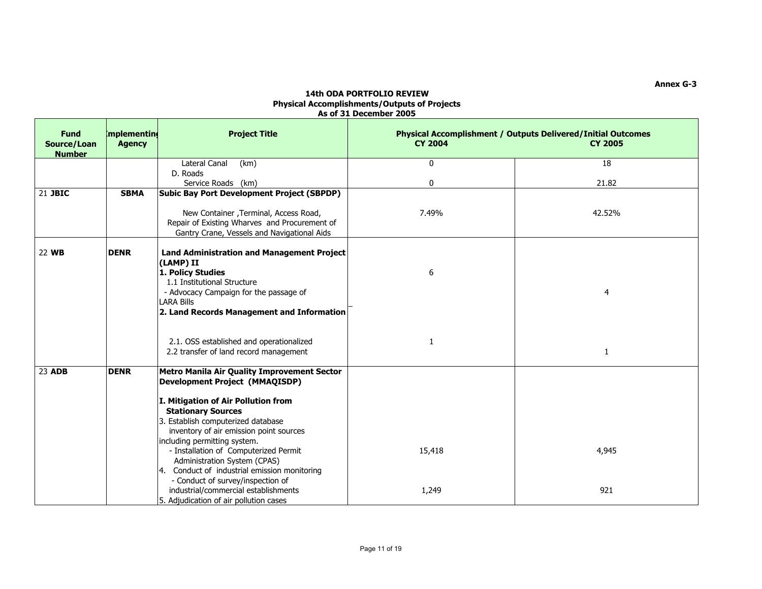| <b>Fund</b><br>Source/Loan<br><b>Number</b> | <b>Implementing</b><br><b>Agency</b> | <b>Project Title</b>                                                                                                                                                                                                                                                                                                                                                                                                                                                                                                      | <b>CY 2004</b>  | <b>Physical Accomplishment / Outputs Delivered/Initial Outcomes</b><br><b>CY 2005</b> |
|---------------------------------------------|--------------------------------------|---------------------------------------------------------------------------------------------------------------------------------------------------------------------------------------------------------------------------------------------------------------------------------------------------------------------------------------------------------------------------------------------------------------------------------------------------------------------------------------------------------------------------|-----------------|---------------------------------------------------------------------------------------|
|                                             |                                      | Lateral Canal<br>(km)                                                                                                                                                                                                                                                                                                                                                                                                                                                                                                     | $\mathbf{0}$    | 18                                                                                    |
|                                             |                                      | D. Roads                                                                                                                                                                                                                                                                                                                                                                                                                                                                                                                  |                 |                                                                                       |
| 21 JBIC                                     | <b>SBMA</b>                          | Service Roads (km)<br><b>Subic Bay Port Development Project (SBPDP)</b>                                                                                                                                                                                                                                                                                                                                                                                                                                                   | 0               | 21.82                                                                                 |
|                                             |                                      |                                                                                                                                                                                                                                                                                                                                                                                                                                                                                                                           |                 |                                                                                       |
|                                             |                                      | New Container , Terminal, Access Road,<br>Repair of Existing Wharves and Procurement of<br>Gantry Crane, Vessels and Navigational Aids                                                                                                                                                                                                                                                                                                                                                                                    | 7.49%           | 42.52%                                                                                |
| 22 WB                                       | <b>DENR</b>                          | <b>Land Administration and Management Project</b><br>(LAMP) II<br>1. Policy Studies<br>1.1 Institutional Structure<br>- Advocacy Campaign for the passage of<br><b>LARA Bills</b><br>2. Land Records Management and Information                                                                                                                                                                                                                                                                                           | 6               | 4                                                                                     |
|                                             |                                      | 2.1. OSS established and operationalized<br>2.2 transfer of land record management                                                                                                                                                                                                                                                                                                                                                                                                                                        | 1               | 1                                                                                     |
| 23 ADB                                      | <b>DENR</b>                          | Metro Manila Air Quality Improvement Sector<br><b>Development Project (MMAQISDP)</b><br>I. Mitigation of Air Pollution from<br><b>Stationary Sources</b><br>3. Establish computerized database<br>inventory of air emission point sources<br>including permitting system.<br>- Installation of Computerized Permit<br>Administration System (CPAS)<br>4. Conduct of industrial emission monitoring<br>- Conduct of survey/inspection of<br>industrial/commercial establishments<br>5. Adjudication of air pollution cases | 15,418<br>1,249 | 4,945<br>921                                                                          |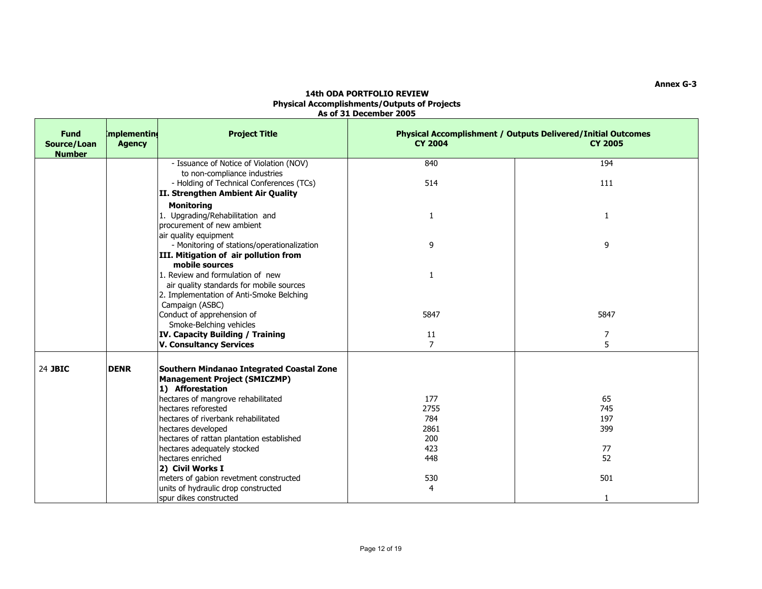| <b>Fund</b><br>Source/Loan<br><b>Number</b> | mplementing<br><b>Agency</b> | <b>Project Title</b>                                                                                                                       | <b>CY 2004</b> | <b>Physical Accomplishment / Outputs Delivered/Initial Outcomes</b><br><b>CY 2005</b> |
|---------------------------------------------|------------------------------|--------------------------------------------------------------------------------------------------------------------------------------------|----------------|---------------------------------------------------------------------------------------|
|                                             |                              | - Issuance of Notice of Violation (NOV)                                                                                                    | 840            | 194                                                                                   |
|                                             |                              | to non-compliance industries                                                                                                               |                |                                                                                       |
|                                             |                              | - Holding of Technical Conferences (TCs)                                                                                                   | 514            | 111                                                                                   |
|                                             |                              | II. Strengthen Ambient Air Quality                                                                                                         |                |                                                                                       |
|                                             |                              | <b>Monitoring</b>                                                                                                                          |                |                                                                                       |
|                                             |                              | 1. Upgrading/Rehabilitation and                                                                                                            | $\mathbf{1}$   | 1                                                                                     |
|                                             |                              | procurement of new ambient                                                                                                                 |                |                                                                                       |
|                                             |                              | air quality equipment                                                                                                                      |                |                                                                                       |
|                                             |                              | - Monitoring of stations/operationalization                                                                                                | 9              | 9                                                                                     |
|                                             |                              | III. Mitigation of air pollution from<br>mobile sources                                                                                    |                |                                                                                       |
|                                             |                              | 1. Review and formulation of new                                                                                                           | $\mathbf{1}$   |                                                                                       |
|                                             |                              | air quality standards for mobile sources                                                                                                   |                |                                                                                       |
|                                             |                              | 2. Implementation of Anti-Smoke Belching                                                                                                   |                |                                                                                       |
|                                             |                              | Campaign (ASBC)                                                                                                                            |                |                                                                                       |
|                                             |                              | Conduct of apprehension of                                                                                                                 | 5847           | 5847                                                                                  |
|                                             |                              | Smoke-Belching vehicles                                                                                                                    |                |                                                                                       |
|                                             |                              | IV. Capacity Building / Training                                                                                                           | 11             | 7                                                                                     |
|                                             |                              | <b>V. Consultancy Services</b>                                                                                                             | $\overline{7}$ | 5                                                                                     |
| 24 JBIC                                     | <b>DENR</b>                  | Southern Mindanao Integrated Coastal Zone<br><b>Management Project (SMICZMP)</b><br>1) Afforestation<br>hectares of mangrove rehabilitated | 177            | 65                                                                                    |
|                                             |                              | hectares reforested                                                                                                                        | 2755           | 745                                                                                   |
|                                             |                              | hectares of riverbank rehabilitated                                                                                                        | 784            | 197                                                                                   |
|                                             |                              | hectares developed                                                                                                                         | 2861           | 399                                                                                   |
|                                             |                              | hectares of rattan plantation established                                                                                                  | 200            |                                                                                       |
|                                             |                              | hectares adequately stocked                                                                                                                | 423            | 77                                                                                    |
|                                             |                              | hectares enriched                                                                                                                          | 448            | 52                                                                                    |
|                                             |                              | 2) Civil Works I                                                                                                                           |                |                                                                                       |
|                                             |                              | meters of gabion revetment constructed                                                                                                     | 530            | 501                                                                                   |
|                                             |                              | units of hydraulic drop constructed                                                                                                        | 4              |                                                                                       |
|                                             |                              | spur dikes constructed                                                                                                                     |                | $\mathbf{1}$                                                                          |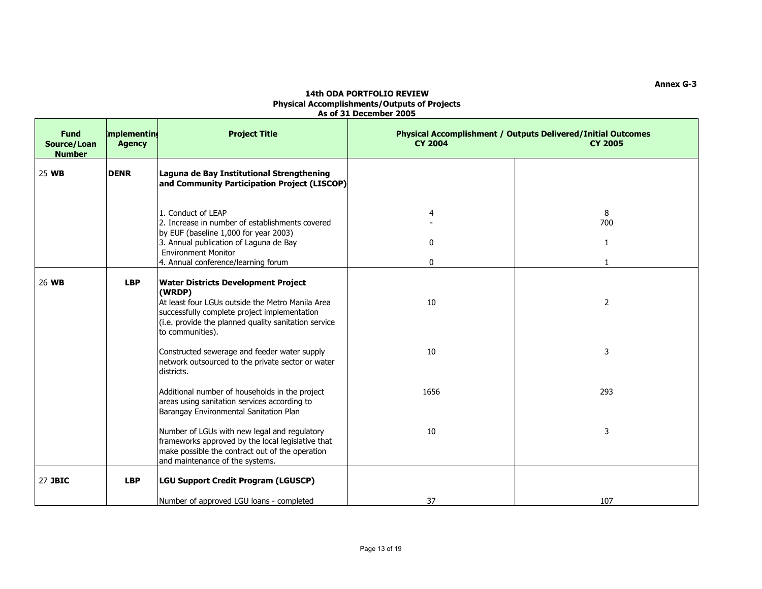| <b>Fund</b><br>Source/Loan<br><b>Number</b> | <b>Implementing</b><br><b>Agency</b> | <b>Project Title</b>                                                                                                                                                                                                                 | <b>Physical Accomplishment / Outputs Delivered/Initial Outcomes</b><br><b>CY 2004</b><br><b>CY 2005</b> |                |
|---------------------------------------------|--------------------------------------|--------------------------------------------------------------------------------------------------------------------------------------------------------------------------------------------------------------------------------------|---------------------------------------------------------------------------------------------------------|----------------|
| 25 WB                                       | <b>DENR</b>                          | Laguna de Bay Institutional Strengthening<br>and Community Participation Project (LISCOP)                                                                                                                                            |                                                                                                         |                |
|                                             |                                      | 1. Conduct of LEAP<br>2. Increase in number of establishments covered<br>by EUF (baseline 1,000 for year 2003)                                                                                                                       | 4                                                                                                       | 8<br>700       |
|                                             |                                      | 3. Annual publication of Laguna de Bay<br><b>Environment Monitor</b><br>4. Annual conference/learning forum                                                                                                                          | $\mathbf{0}$<br>0                                                                                       | 1              |
| 26 WB                                       | <b>LBP</b>                           | <b>Water Districts Development Project</b><br>(WRDP)<br>At least four LGUs outside the Metro Manila Area<br>successfully complete project implementation<br>(i.e. provide the planned quality sanitation service<br>to communities). | 10                                                                                                      | $\overline{2}$ |
|                                             |                                      | Constructed sewerage and feeder water supply<br>network outsourced to the private sector or water<br>districts.                                                                                                                      | 10                                                                                                      | 3              |
|                                             |                                      | Additional number of households in the project<br>areas using sanitation services according to<br>Barangay Environmental Sanitation Plan                                                                                             | 1656                                                                                                    | 293            |
|                                             |                                      | Number of LGUs with new legal and regulatory<br>frameworks approved by the local legislative that<br>make possible the contract out of the operation<br>and maintenance of the systems.                                              | 10                                                                                                      | 3              |
| 27 JBIC                                     | <b>LBP</b>                           | <b>LGU Support Credit Program (LGUSCP)</b>                                                                                                                                                                                           |                                                                                                         |                |
|                                             |                                      | Number of approved LGU loans - completed                                                                                                                                                                                             | 37                                                                                                      | 107            |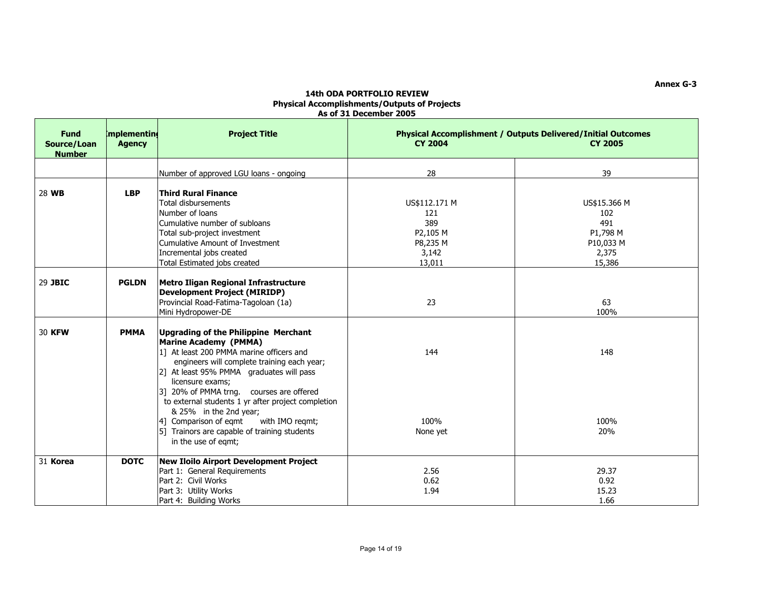| <b>Fund</b><br>Source/Loan<br><b>Number</b> | <b>Implementine</b><br><b>Agency</b> | <b>Project Title</b>                                                                                                                                                                                                                                                                                                                                                                                                                                                     | <b>CY 2004</b>                                                         | <b>Physical Accomplishment / Outputs Delivered/Initial Outcomes</b><br><b>CY 2005</b> |
|---------------------------------------------|--------------------------------------|--------------------------------------------------------------------------------------------------------------------------------------------------------------------------------------------------------------------------------------------------------------------------------------------------------------------------------------------------------------------------------------------------------------------------------------------------------------------------|------------------------------------------------------------------------|---------------------------------------------------------------------------------------|
|                                             |                                      | Number of approved LGU loans - ongoing                                                                                                                                                                                                                                                                                                                                                                                                                                   | 28                                                                     | 39                                                                                    |
| 28 WB                                       | <b>LBP</b>                           | Third Rural Finance<br>Total disbursements<br>Number of loans<br>Cumulative number of subloans<br>Total sub-project investment<br>Cumulative Amount of Investment<br>Incremental jobs created<br>Total Estimated jobs created                                                                                                                                                                                                                                            | US\$112.171 M<br>121<br>389<br>P2,105 M<br>P8,235 M<br>3,142<br>13,011 | US\$15.366 M<br>102<br>491<br>P1,798 M<br>P10,033 M<br>2,375<br>15,386                |
| 29 JBIC                                     | <b>PGLDN</b>                         | Metro Iligan Regional Infrastructure<br><b>Development Project (MIRIDP)</b><br>Provincial Road-Fatima-Tagoloan (1a)<br>Mini Hydropower-DE                                                                                                                                                                                                                                                                                                                                | 23                                                                     | 63<br>100%                                                                            |
| 30 KFW                                      | <b>PMMA</b>                          | Upgrading of the Philippine Merchant<br>Marine Academy (PMMA)<br>1] At least 200 PMMA marine officers and<br>engineers will complete training each year;<br>2] At least 95% PMMA graduates will pass<br>licensure exams;<br>3] 20% of PMMA trng. courses are offered<br>to external students 1 yr after project completion<br>& 25% in the 2nd year;<br>4] Comparison of eqmt<br>with IMO regmt;<br>[5] Trainors are capable of training students<br>in the use of egmt; | 144<br>100%<br>None yet                                                | 148<br>100%<br>20%                                                                    |
| 31 Korea                                    | <b>DOTC</b>                          | New Iloilo Airport Development Project<br>Part 1: General Requirements<br>Part 2: Civil Works<br>Part 3: Utility Works<br>Part 4: Building Works                                                                                                                                                                                                                                                                                                                         | 2.56<br>0.62<br>1.94                                                   | 29.37<br>0.92<br>15.23<br>1.66                                                        |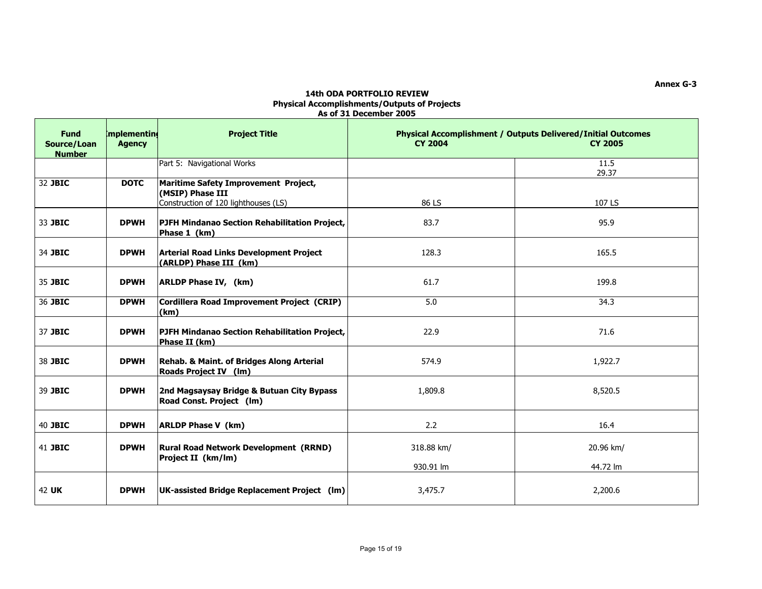| <b>Fund</b><br>Source/Loan<br><b>Number</b> | <b>Implementine</b><br><b>Agency</b> | <b>Project Title</b>                                                                             | <b>Physical Accomplishment / Outputs Delivered/Initial Outcomes</b><br><b>CY 2004</b><br><b>CY 2005</b> |               |
|---------------------------------------------|--------------------------------------|--------------------------------------------------------------------------------------------------|---------------------------------------------------------------------------------------------------------|---------------|
|                                             |                                      | Part 5: Navigational Works                                                                       |                                                                                                         | 11.5<br>29.37 |
| 32 JBIC                                     | <b>DOTC</b>                          | Maritime Safety Improvement Project,<br>(MSIP) Phase III<br>Construction of 120 lighthouses (LS) | 86 LS                                                                                                   | 107 LS        |
| 33 JBIC                                     | <b>DPWH</b>                          | PJFH Mindanao Section Rehabilitation Project,<br>Phase 1 (km)                                    | 83.7                                                                                                    | 95.9          |
| 34 JBIC                                     | <b>DPWH</b>                          | <b>Arterial Road Links Development Project</b><br>(ARLDP) Phase III (km)                         | 128.3                                                                                                   | 165.5         |
| 35 JBIC                                     | <b>DPWH</b>                          | <b>ARLDP Phase IV, (km)</b>                                                                      | 61.7                                                                                                    | 199.8         |
| 36 JBIC                                     | <b>DPWH</b>                          | Cordillera Road Improvement Project (CRIP)<br>(km)                                               | 5.0                                                                                                     | 34.3          |
| 37 JBIC                                     | <b>DPWH</b>                          | <b>PJFH Mindanao Section Rehabilitation Project,</b><br>Phase II (km)                            | 22.9                                                                                                    | 71.6          |
| 38 JBIC                                     | <b>DPWH</b>                          | Rehab. & Maint. of Bridges Along Arterial<br><b>Roads Project IV (lm)</b>                        | 574.9                                                                                                   | 1,922.7       |
| 39 JBIC                                     | <b>DPWH</b>                          | 2nd Magsaysay Bridge & Butuan City Bypass<br>Road Const. Project (Im)                            | 1,809.8                                                                                                 | 8,520.5       |
| 40 JBIC                                     | <b>DPWH</b>                          | <b>ARLDP Phase V (km)</b>                                                                        | 2.2                                                                                                     | 16.4          |
| 41 JBIC                                     | <b>DPWH</b>                          | <b>Rural Road Network Development (RRND)</b><br>Project II (km/lm)                               | 318.88 km/                                                                                              | 20.96 km/     |
|                                             |                                      |                                                                                                  | 930.91 lm                                                                                               | 44.72 lm      |
| 42 UK                                       | <b>DPWH</b>                          | UK-assisted Bridge Replacement Project (lm)                                                      | 3,475.7                                                                                                 | 2,200.6       |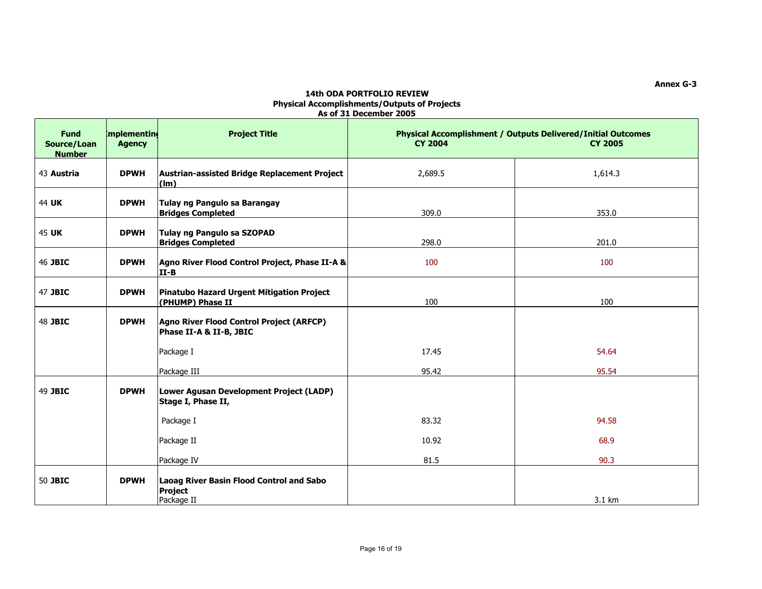| <b>Fund</b><br>Source/Loan<br><b>Number</b> | <b>Implementing</b><br><b>Agency</b> | <b>Project Title</b>                                                            | <b>CY 2004</b> | <b>Physical Accomplishment / Outputs Delivered/Initial Outcomes</b><br><b>CY 2005</b> |
|---------------------------------------------|--------------------------------------|---------------------------------------------------------------------------------|----------------|---------------------------------------------------------------------------------------|
| 43 Austria                                  | <b>DPWH</b>                          | Austrian-assisted Bridge Replacement Project<br>$(\mathsf{Im})$                 | 2,689.5        | 1,614.3                                                                               |
| 44 UK                                       | <b>DPWH</b>                          | Tulay ng Pangulo sa Barangay<br><b>Bridges Completed</b>                        | 309.0          | 353.0                                                                                 |
| 45 UK                                       | <b>DPWH</b>                          | Tulay ng Pangulo sa SZOPAD<br><b>Bridges Completed</b>                          | 298.0          | 201.0                                                                                 |
| 46 JBIC                                     | <b>DPWH</b>                          | Agno River Flood Control Project, Phase II-A &<br>$II-B$                        | 100            | 100                                                                                   |
| 47 JBIC                                     | <b>DPWH</b>                          | Pinatubo Hazard Urgent Mitigation Project<br>(PHUMP) Phase II                   | 100            | 100                                                                                   |
| 48 JBIC                                     | <b>DPWH</b>                          | Agno River Flood Control Project (ARFCP)<br>Phase II-A & II-B, JBIC             |                |                                                                                       |
|                                             |                                      | Package I                                                                       | 17.45          | 54.64                                                                                 |
|                                             |                                      | Package III                                                                     | 95.42          | 95.54                                                                                 |
| 49 JBIC                                     | <b>DPWH</b>                          | Lower Agusan Development Project (LADP)<br>Stage I, Phase II,                   |                |                                                                                       |
|                                             |                                      | Package I                                                                       | 83.32          | 94.58                                                                                 |
|                                             |                                      | Package II                                                                      | 10.92          | 68.9                                                                                  |
|                                             |                                      | Package IV                                                                      | 81.5           | 90.3                                                                                  |
| 50 JBIC                                     | <b>DPWH</b>                          | <b>Laoag River Basin Flood Control and Sabo</b><br><b>Project</b><br>Package II |                | 3.1 km                                                                                |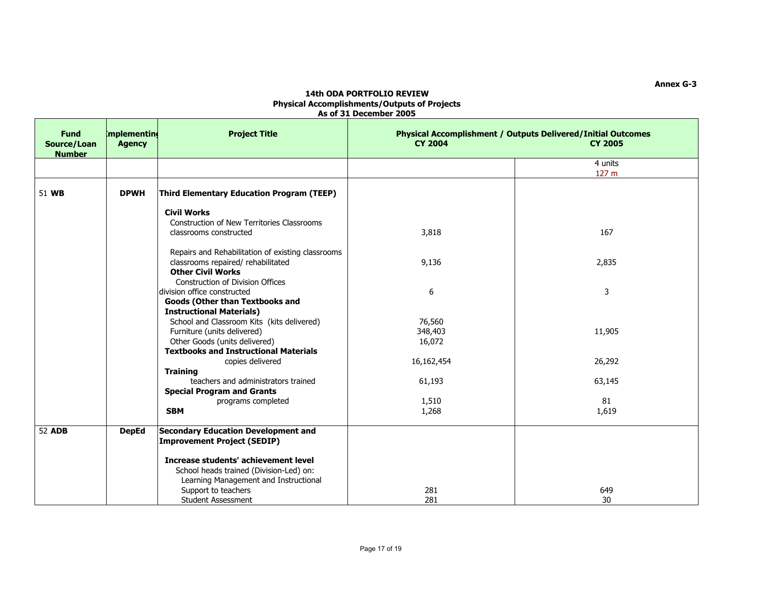| <b>Fund</b><br>Source/Loan<br><b>Number</b> | mplementing<br><b>Agency</b> | <b>Project Title</b>                                                             | <b>CY 2004</b> | <b>Physical Accomplishment / Outputs Delivered/Initial Outcomes</b><br><b>CY 2005</b> |
|---------------------------------------------|------------------------------|----------------------------------------------------------------------------------|----------------|---------------------------------------------------------------------------------------|
|                                             |                              |                                                                                  |                | 4 units<br>127 m                                                                      |
| 51 WB                                       | <b>DPWH</b>                  | <b>Third Elementary Education Program (TEEP)</b>                                 |                |                                                                                       |
|                                             |                              | <b>Civil Works</b>                                                               |                |                                                                                       |
|                                             |                              | Construction of New Territories Classrooms                                       |                |                                                                                       |
|                                             |                              | classrooms constructed                                                           | 3,818          | 167                                                                                   |
|                                             |                              | Repairs and Rehabilitation of existing classrooms                                |                |                                                                                       |
|                                             |                              | classrooms repaired/ rehabilitated                                               | 9,136          | 2,835                                                                                 |
|                                             |                              | <b>Other Civil Works</b>                                                         |                |                                                                                       |
|                                             |                              | Construction of Division Offices                                                 |                |                                                                                       |
|                                             |                              | division office constructed                                                      | 6              | $\mathbf{3}$                                                                          |
|                                             |                              | <b>Goods (Other than Textbooks and</b>                                           |                |                                                                                       |
|                                             |                              | <b>Instructional Materials)</b>                                                  |                |                                                                                       |
|                                             |                              | School and Classroom Kits (kits delivered)                                       | 76,560         |                                                                                       |
|                                             |                              | Furniture (units delivered)                                                      | 348,403        | 11,905                                                                                |
|                                             |                              | Other Goods (units delivered)                                                    | 16,072         |                                                                                       |
|                                             |                              | <b>Textbooks and Instructional Materials</b>                                     |                |                                                                                       |
|                                             |                              | copies delivered                                                                 | 16,162,454     | 26,292                                                                                |
|                                             |                              | <b>Training</b>                                                                  |                |                                                                                       |
|                                             |                              | teachers and administrators trained                                              | 61,193         | 63,145                                                                                |
|                                             |                              | <b>Special Program and Grants</b>                                                |                |                                                                                       |
|                                             |                              | programs completed                                                               | 1,510          | 81                                                                                    |
|                                             |                              | <b>SBM</b>                                                                       | 1,268          | 1,619                                                                                 |
| <b>52 ADB</b>                               | <b>DepEd</b>                 | <b>Secondary Education Development and</b><br><b>Improvement Project (SEDIP)</b> |                |                                                                                       |
|                                             |                              | Increase students' achievement level                                             |                |                                                                                       |
|                                             |                              | School heads trained (Division-Led) on:                                          |                |                                                                                       |
|                                             |                              | Learning Management and Instructional                                            |                |                                                                                       |
|                                             |                              | Support to teachers                                                              | 281            | 649                                                                                   |
|                                             |                              | <b>Student Assessment</b>                                                        | 281            | 30                                                                                    |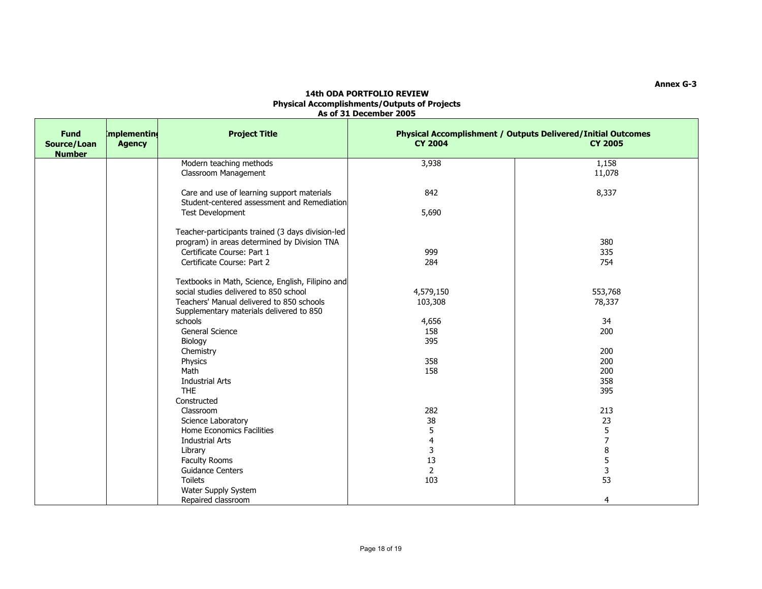| <b>Fund</b><br>Source/Loan<br><b>Number</b> | mplementing<br><b>Agency</b> | <b>Project Title</b>                                                                                                                     | <b>CY 2004</b>                     | <b>Physical Accomplishment / Outputs Delivered/Initial Outcomes</b><br><b>CY 2005</b> |
|---------------------------------------------|------------------------------|------------------------------------------------------------------------------------------------------------------------------------------|------------------------------------|---------------------------------------------------------------------------------------|
|                                             |                              | Modern teaching methods<br>Classroom Management                                                                                          | 3,938                              | 1,158<br>11,078                                                                       |
|                                             |                              | Care and use of learning support materials<br>Student-centered assessment and Remediation<br>Test Development                            | 842<br>5,690                       | 8,337                                                                                 |
|                                             |                              | Teacher-participants trained (3 days division-led<br>program) in areas determined by Division TNA                                        |                                    | 380                                                                                   |
|                                             |                              | Certificate Course: Part 1<br>Certificate Course: Part 2                                                                                 | 999<br>284                         | 335<br>754                                                                            |
|                                             |                              | Textbooks in Math, Science, English, Filipino and<br>social studies delivered to 850 school<br>Teachers' Manual delivered to 850 schools | 4,579,150<br>103,308               | 553,768<br>78,337                                                                     |
|                                             |                              | Supplementary materials delivered to 850<br>schools<br><b>General Science</b><br>Biology                                                 | 4,656<br>158<br>395                | 34<br>200                                                                             |
|                                             |                              | Chemistry<br>Physics<br>Math                                                                                                             | 358<br>158                         | 200<br>200<br>200                                                                     |
|                                             |                              | <b>Industrial Arts</b><br><b>THE</b><br>Constructed                                                                                      |                                    | 358<br>395                                                                            |
|                                             |                              | Classroom<br>Science Laboratory<br>Home Economics Facilities                                                                             | 282<br>38<br>5                     | 213<br>23<br>5                                                                        |
|                                             |                              | <b>Industrial Arts</b><br>Library<br>Faculty Rooms                                                                                       | $\overline{\mathbf{4}}$<br>3<br>13 | $\overline{7}$<br>8<br>5                                                              |
|                                             |                              | <b>Guidance Centers</b><br><b>Toilets</b><br>Water Supply System                                                                         | 2<br>103                           | 3<br>53                                                                               |
|                                             |                              | Repaired classroom                                                                                                                       |                                    | 4                                                                                     |